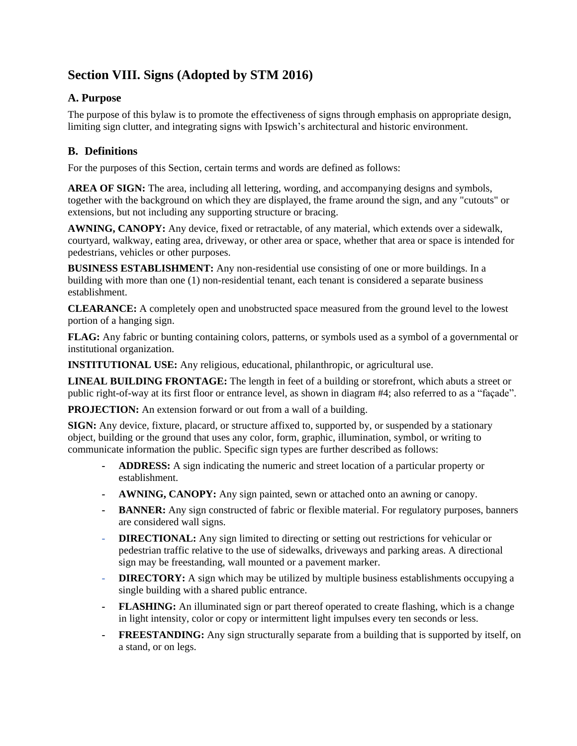# **Section VIII. Signs (Adopted by STM 2016)**

### **A. Purpose**

The purpose of this bylaw is to promote the effectiveness of signs through emphasis on appropriate design, limiting sign clutter, and integrating signs with Ipswich's architectural and historic environment.

## **B. Definitions**

For the purposes of this Section, certain terms and words are defined as follows:

**AREA OF SIGN:** The area, including all lettering, wording, and accompanying designs and symbols, together with the background on which they are displayed, the frame around the sign, and any "cutouts" or extensions, but not including any supporting structure or bracing.

**AWNING, CANOPY:** Any device, fixed or retractable, of any material, which extends over a sidewalk, courtyard, walkway, eating area, driveway, or other area or space, whether that area or space is intended for pedestrians, vehicles or other purposes.

**BUSINESS ESTABLISHMENT:** Any non-residential use consisting of one or more buildings. In a building with more than one (1) non-residential tenant, each tenant is considered a separate business establishment.

**CLEARANCE:** A completely open and unobstructed space measured from the ground level to the lowest portion of a hanging sign.

**FLAG:** Any fabric or bunting containing colors, patterns, or symbols used as a symbol of a governmental or institutional organization.

**INSTITUTIONAL USE:** Any religious, educational, philanthropic, or agricultural use.

**LINEAL BUILDING FRONTAGE:** The length in feet of a building or storefront, which abuts a street or public right-of-way at its first floor or entrance level, as shown in diagram #4; also referred to as a "façade".

**PROJECTION:** An extension forward or out from a wall of a building.

**SIGN:** Any device, fixture, placard, or structure affixed to, supported by, or suspended by a stationary object, building or the ground that uses any color, form, graphic, illumination, symbol, or writing to communicate information the public. Specific sign types are further described as follows:

- **- ADDRESS:** A sign indicating the numeric and street location of a particular property or establishment.
- **- AWNING, CANOPY:** Any sign painted, sewn or attached onto an awning or canopy.
- **- BANNER:** Any sign constructed of fabric or flexible material. For regulatory purposes, banners are considered wall signs.
- **- DIRECTIONAL:** Any sign limited to directing or setting out restrictions for vehicular or pedestrian traffic relative to the use of sidewalks, driveways and parking areas. A directional sign may be freestanding, wall mounted or a pavement marker.
- **- DIRECTORY:** A sign which may be utilized by multiple business establishments occupying a single building with a shared public entrance.
- **- FLASHING:** An illuminated sign or part thereof operated to create flashing, which is a change in light intensity, color or copy or intermittent light impulses every ten seconds or less.
- **- FREESTANDING:** Any sign structurally separate from a building that is supported by itself, on a stand, or on legs.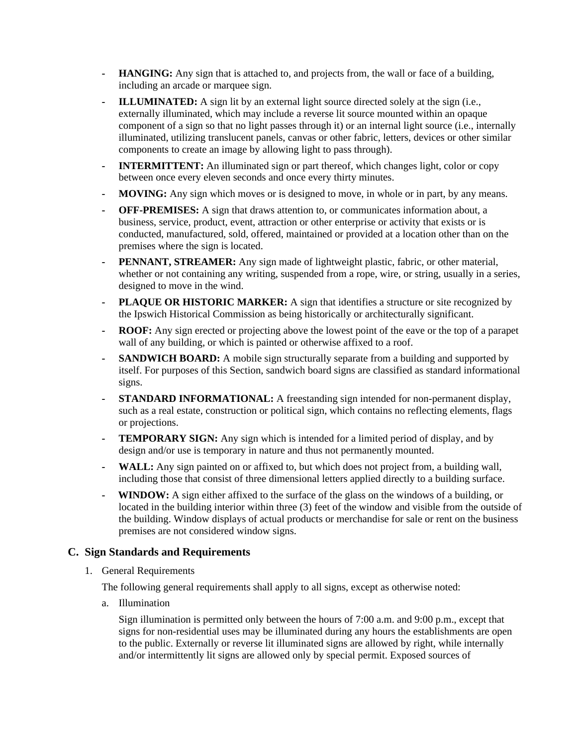- **- HANGING:** Any sign that is attached to, and projects from, the wall or face of a building, including an arcade or marquee sign.
- **- ILLUMINATED:** A sign lit by an external light source directed solely at the sign (i.e., externally illuminated, which may include a reverse lit source mounted within an opaque component of a sign so that no light passes through it) or an internal light source (i.e., internally illuminated, utilizing translucent panels, canvas or other fabric, letters, devices or other similar components to create an image by allowing light to pass through).
- **- INTERMITTENT:** An illuminated sign or part thereof, which changes light, color or copy between once every eleven seconds and once every thirty minutes.
- **- MOVING:** Any sign which moves or is designed to move, in whole or in part, by any means.
- **- OFF-PREMISES:** A sign that draws attention to, or communicates information about, a business, service, product, event, attraction or other enterprise or activity that exists or is conducted, manufactured, sold, offered, maintained or provided at a location other than on the premises where the sign is located.
- **- PENNANT, STREAMER:** Any sign made of lightweight plastic, fabric, or other material, whether or not containing any writing, suspended from a rope, wire, or string, usually in a series, designed to move in the wind.
- **- PLAQUE OR HISTORIC MARKER:** A sign that identifies a structure or site recognized by the Ipswich Historical Commission as being historically or architecturally significant.
- **- ROOF:** Any sign erected or projecting above the lowest point of the eave or the top of a parapet wall of any building, or which is painted or otherwise affixed to a roof.
- **- SANDWICH BOARD:** A mobile sign structurally separate from a building and supported by itself. For purposes of this Section, sandwich board signs are classified as standard informational signs.
- **- STANDARD INFORMATIONAL:** A freestanding sign intended for non-permanent display, such as a real estate, construction or political sign, which contains no reflecting elements, flags or projections.
- **- TEMPORARY SIGN:** Any sign which is intended for a limited period of display, and by design and/or use is temporary in nature and thus not permanently mounted.
- **- WALL:** Any sign painted on or affixed to, but which does not project from, a building wall, including those that consist of three dimensional letters applied directly to a building surface.
- **WINDOW:** A sign either affixed to the surface of the glass on the windows of a building, or located in the building interior within three (3) feet of the window and visible from the outside of the building. Window displays of actual products or merchandise for sale or rent on the business premises are not considered window signs.

#### **C. Sign Standards and Requirements**

1. General Requirements

The following general requirements shall apply to all signs, except as otherwise noted:

a. Illumination

Sign illumination is permitted only between the hours of 7:00 a.m. and 9:00 p.m., except that signs for non-residential uses may be illuminated during any hours the establishments are open to the public. Externally or reverse lit illuminated signs are allowed by right, while internally and/or intermittently lit signs are allowed only by special permit. Exposed sources of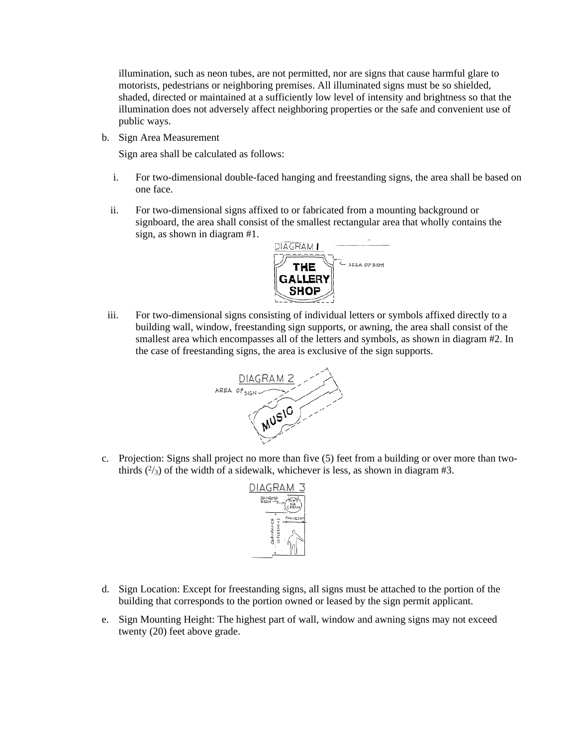illumination, such as neon tubes, are not permitted, nor are signs that cause harmful glare to motorists, pedestrians or neighboring premises. All illuminated signs must be so shielded, shaded, directed or maintained at a sufficiently low level of intensity and brightness so that the illumination does not adversely affect neighboring properties or the safe and convenient use of public ways.

b. Sign Area Measurement

Sign area shall be calculated as follows:

- i. For two-dimensional double-faced hanging and freestanding signs, the area shall be based on one face.
- ii. For two-dimensional signs affixed to or fabricated from a mounting background or signboard, the area shall consist of the smallest rectangular area that wholly contains the sign, as shown in diagram #1.



iii. For two-dimensional signs consisting of individual letters or symbols affixed directly to a building wall, window, freestanding sign supports, or awning, the area shall consist of the smallest area which encompasses all of the letters and symbols, as shown in diagram #2. In the case of freestanding signs, the area is exclusive of the sign supports.



c. Projection: Signs shall project no more than five (5) feet from a building or over more than twothirds  $(^{2}/_{3})$  of the width of a sidewalk, whichever is less, as shown in diagram #3.



- d. Sign Location: Except for freestanding signs, all signs must be attached to the portion of the building that corresponds to the portion owned or leased by the sign permit applicant.
- e. Sign Mounting Height: The highest part of wall, window and awning signs may not exceed twenty (20) feet above grade.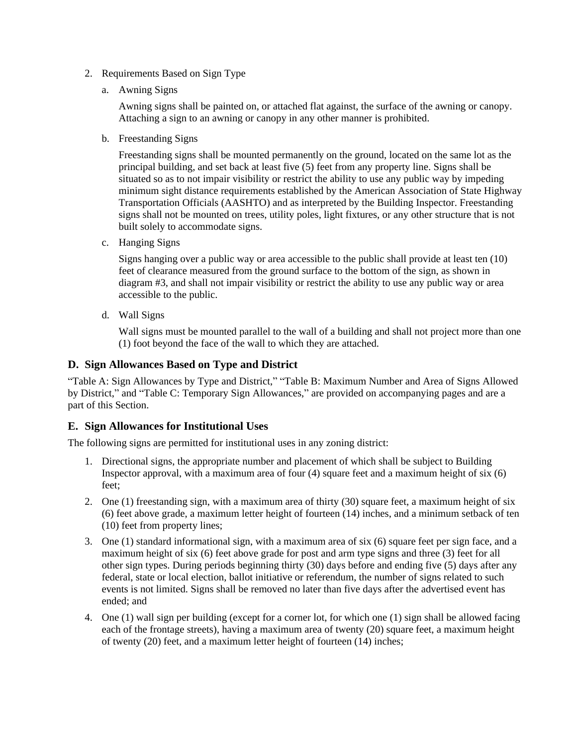- 2. Requirements Based on Sign Type
	- a. Awning Signs

Awning signs shall be painted on, or attached flat against, the surface of the awning or canopy. Attaching a sign to an awning or canopy in any other manner is prohibited.

b. Freestanding Signs

Freestanding signs shall be mounted permanently on the ground, located on the same lot as the principal building, and set back at least five (5) feet from any property line. Signs shall be situated so as to not impair visibility or restrict the ability to use any public way by impeding minimum sight distance requirements established by the American Association of State Highway Transportation Officials (AASHTO) and as interpreted by the Building Inspector. Freestanding signs shall not be mounted on trees, utility poles, light fixtures, or any other structure that is not built solely to accommodate signs.

c. Hanging Signs

Signs hanging over a public way or area accessible to the public shall provide at least ten (10) feet of clearance measured from the ground surface to the bottom of the sign, as shown in diagram #3, and shall not impair visibility or restrict the ability to use any public way or area accessible to the public.

d. Wall Signs

Wall signs must be mounted parallel to the wall of a building and shall not project more than one (1) foot beyond the face of the wall to which they are attached.

#### **D. Sign Allowances Based on Type and District**

"Table A: Sign Allowances by Type and District," "Table B: Maximum Number and Area of Signs Allowed by District," and "Table C: Temporary Sign Allowances," are provided on accompanying pages and are a part of this Section.

#### **E. Sign Allowances for Institutional Uses**

The following signs are permitted for institutional uses in any zoning district:

- 1. Directional signs, the appropriate number and placement of which shall be subject to Building Inspector approval, with a maximum area of four (4) square feet and a maximum height of six (6) feet;
- 2. One (1) freestanding sign, with a maximum area of thirty (30) square feet, a maximum height of six (6) feet above grade, a maximum letter height of fourteen (14) inches, and a minimum setback of ten (10) feet from property lines;
- 3. One (1) standard informational sign, with a maximum area of six (6) square feet per sign face, and a maximum height of six (6) feet above grade for post and arm type signs and three (3) feet for all other sign types. During periods beginning thirty (30) days before and ending five (5) days after any federal, state or local election, ballot initiative or referendum, the number of signs related to such events is not limited. Signs shall be removed no later than five days after the advertised event has ended; and
- 4. One (1) wall sign per building (except for a corner lot, for which one (1) sign shall be allowed facing each of the frontage streets), having a maximum area of twenty (20) square feet, a maximum height of twenty (20) feet, and a maximum letter height of fourteen (14) inches;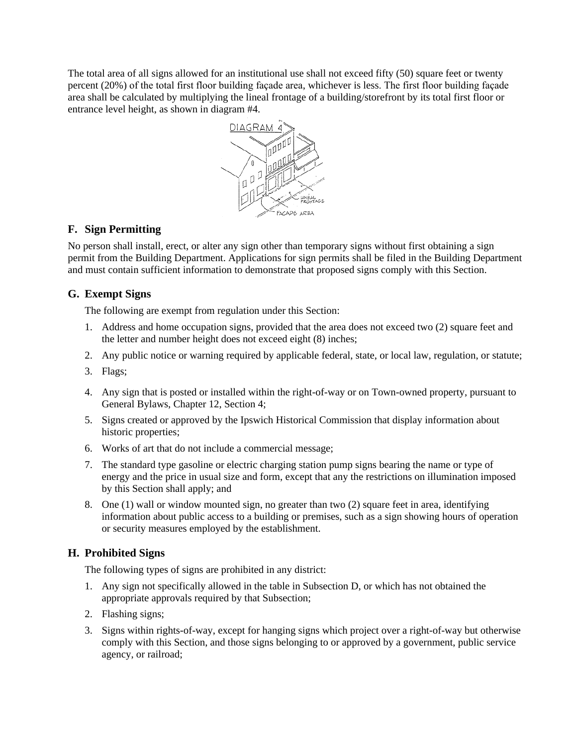The total area of all signs allowed for an institutional use shall not exceed fifty (50) square feet or twenty percent (20%) of the total first floor building façade area, whichever is less. The first floor building façade area shall be calculated by multiplying the lineal frontage of a building/storefront by its total first floor or entrance level height, as shown in diagram #4.



### **F. Sign Permitting**

No person shall install, erect, or alter any sign other than temporary signs without first obtaining a sign permit from the Building Department. Applications for sign permits shall be filed in the Building Department and must contain sufficient information to demonstrate that proposed signs comply with this Section.

### **G. Exempt Signs**

The following are exempt from regulation under this Section:

- 1. Address and home occupation signs, provided that the area does not exceed two (2) square feet and the letter and number height does not exceed eight (8) inches;
- 2. Any public notice or warning required by applicable federal, state, or local law, regulation, or statute;
- 3. Flags;
- 4. Any sign that is posted or installed within the right-of-way or on Town-owned property, pursuant to General Bylaws, Chapter 12, Section 4;
- 5. Signs created or approved by the Ipswich Historical Commission that display information about historic properties;
- 6. Works of art that do not include a commercial message;
- 7. The standard type gasoline or electric charging station pump signs bearing the name or type of energy and the price in usual size and form, except that any the restrictions on illumination imposed by this Section shall apply; and
- 8. One (1) wall or window mounted sign, no greater than two (2) square feet in area, identifying information about public access to a building or premises, such as a sign showing hours of operation or security measures employed by the establishment.

### **H. Prohibited Signs**

The following types of signs are prohibited in any district:

- 1. Any sign not specifically allowed in the table in Subsection D, or which has not obtained the appropriate approvals required by that Subsection;
- 2. Flashing signs;
- 3. Signs within rights-of-way, except for hanging signs which project over a right-of-way but otherwise comply with this Section, and those signs belonging to or approved by a government, public service agency, or railroad;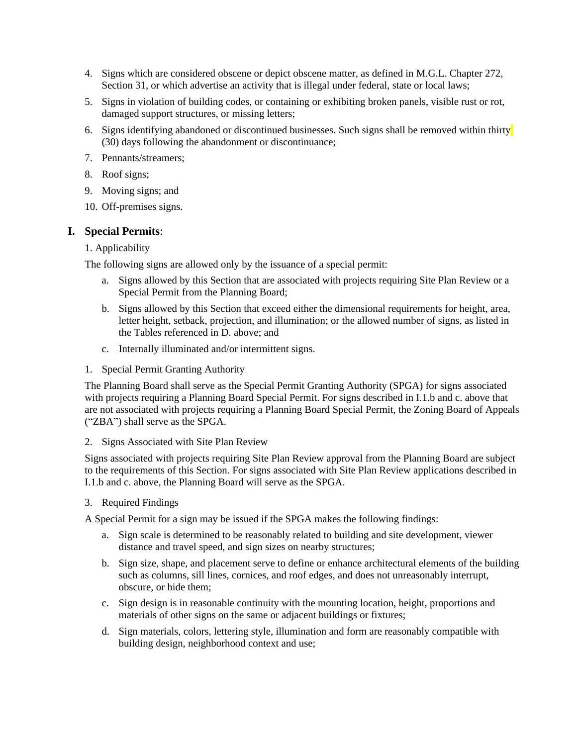- 4. Signs which are considered obscene or depict obscene matter, as defined in M.G.L. Chapter 272, Section 31, or which advertise an activity that is illegal under federal, state or local laws;
- 5. Signs in violation of building codes, or containing or exhibiting broken panels, visible rust or rot, damaged support structures, or missing letters;
- 6. Signs identifying abandoned or discontinued businesses. Such signs shall be removed within thirty (30) days following the abandonment or discontinuance;
- 7. Pennants/streamers;
- 8. Roof signs;
- 9. Moving signs; and
- 10. Off-premises signs.

#### **I. Special Permits**:

#### 1. Applicability

The following signs are allowed only by the issuance of a special permit:

- a. Signs allowed by this Section that are associated with projects requiring Site Plan Review or a Special Permit from the Planning Board;
- b. Signs allowed by this Section that exceed either the dimensional requirements for height, area, letter height, setback, projection, and illumination; or the allowed number of signs, as listed in the Tables referenced in D. above; and
- c. Internally illuminated and/or intermittent signs.
- 1. Special Permit Granting Authority

The Planning Board shall serve as the Special Permit Granting Authority (SPGA) for signs associated with projects requiring a Planning Board Special Permit. For signs described in I.1.b and c. above that are not associated with projects requiring a Planning Board Special Permit, the Zoning Board of Appeals ("ZBA") shall serve as the SPGA.

#### 2. Signs Associated with Site Plan Review

Signs associated with projects requiring Site Plan Review approval from the Planning Board are subject to the requirements of this Section. For signs associated with Site Plan Review applications described in I.1.b and c. above, the Planning Board will serve as the SPGA.

3. Required Findings

A Special Permit for a sign may be issued if the SPGA makes the following findings:

- a. Sign scale is determined to be reasonably related to building and site development, viewer distance and travel speed, and sign sizes on nearby structures;
- b. Sign size, shape, and placement serve to define or enhance architectural elements of the building such as columns, sill lines, cornices, and roof edges, and does not unreasonably interrupt, obscure, or hide them;
- c. Sign design is in reasonable continuity with the mounting location, height, proportions and materials of other signs on the same or adjacent buildings or fixtures;
- d. Sign materials, colors, lettering style, illumination and form are reasonably compatible with building design, neighborhood context and use;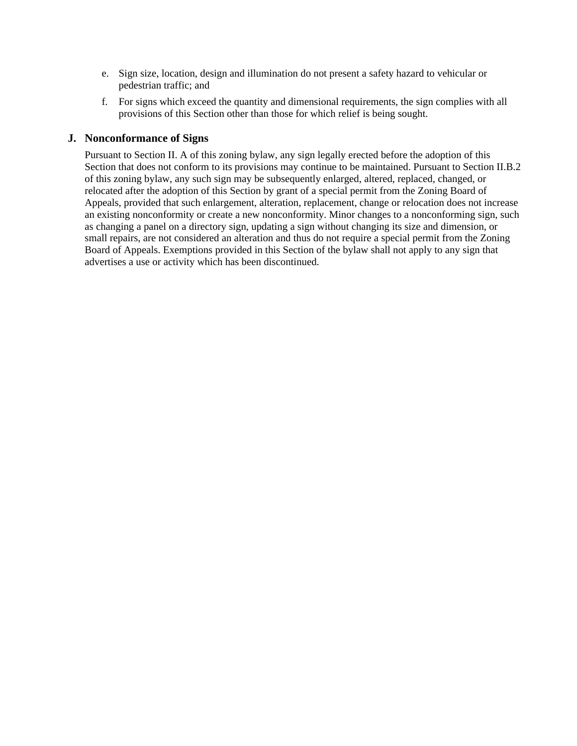- e. Sign size, location, design and illumination do not present a safety hazard to vehicular or pedestrian traffic; and
- f. For signs which exceed the quantity and dimensional requirements, the sign complies with all provisions of this Section other than those for which relief is being sought.

#### **J. Nonconformance of Signs**

Pursuant to Section II. A of this zoning bylaw, any sign legally erected before the adoption of this Section that does not conform to its provisions may continue to be maintained. Pursuant to Section II.B.2 of this zoning bylaw, any such sign may be subsequently enlarged, altered, replaced, changed, or relocated after the adoption of this Section by grant of a special permit from the Zoning Board of Appeals, provided that such enlargement, alteration, replacement, change or relocation does not increase an existing nonconformity or create a new nonconformity. Minor changes to a nonconforming sign, such as changing a panel on a directory sign, updating a sign without changing its size and dimension, or small repairs, are not considered an alteration and thus do not require a special permit from the Zoning Board of Appeals. Exemptions provided in this Section of the bylaw shall not apply to any sign that advertises a use or activity which has been discontinued.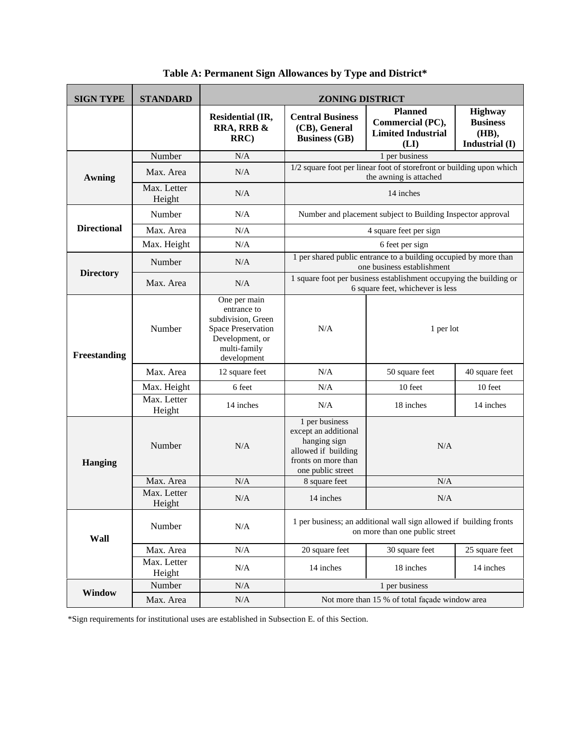| <b>SIGN TYPE</b>   | <b>STANDARD</b>       | <b>ZONING DISTRICT</b>                                                                                                           |                                                                                                                           |                                                                         |                                                              |  |  |
|--------------------|-----------------------|----------------------------------------------------------------------------------------------------------------------------------|---------------------------------------------------------------------------------------------------------------------------|-------------------------------------------------------------------------|--------------------------------------------------------------|--|--|
|                    |                       | <b>Residential (IR,</b><br>RRA, RRB &<br>RRC                                                                                     | <b>Central Business</b><br>(CB), General<br><b>Business (GB)</b>                                                          | <b>Planned</b><br>Commercial (PC),<br><b>Limited Industrial</b><br>(LI) | <b>Highway</b><br><b>Business</b><br>(HB),<br>Industrial (I) |  |  |
|                    | Number                | N/A                                                                                                                              | 1 per business                                                                                                            |                                                                         |                                                              |  |  |
| Awning             | Max. Area             | N/A                                                                                                                              | 1/2 square foot per linear foot of storefront or building upon which<br>the awning is attached                            |                                                                         |                                                              |  |  |
|                    | Max. Letter<br>Height | N/A                                                                                                                              | 14 inches                                                                                                                 |                                                                         |                                                              |  |  |
| <b>Directional</b> | Number                | N/A                                                                                                                              | Number and placement subject to Building Inspector approval                                                               |                                                                         |                                                              |  |  |
|                    | Max. Area             | N/A                                                                                                                              | 4 square feet per sign                                                                                                    |                                                                         |                                                              |  |  |
|                    | Max. Height           | N/A                                                                                                                              | 6 feet per sign                                                                                                           |                                                                         |                                                              |  |  |
| <b>Directory</b>   | Number                | N/A                                                                                                                              | 1 per shared public entrance to a building occupied by more than<br>one business establishment                            |                                                                         |                                                              |  |  |
|                    | Max. Area             | N/A                                                                                                                              | 1 square foot per business establishment occupying the building or<br>6 square feet, whichever is less                    |                                                                         |                                                              |  |  |
| Freestanding       | Number                | One per main<br>entrance to<br>subdivision, Green<br><b>Space Preservation</b><br>Development, or<br>multi-family<br>development | N/A<br>1 per lot                                                                                                          |                                                                         |                                                              |  |  |
|                    | Max. Area             | 12 square feet                                                                                                                   | N/A                                                                                                                       | 50 square feet<br>40 square feet                                        |                                                              |  |  |
|                    | Max. Height           | 6 feet                                                                                                                           | N/A                                                                                                                       | 10 feet<br>10 feet                                                      |                                                              |  |  |
|                    | Max. Letter<br>Height | 14 inches                                                                                                                        | N/A                                                                                                                       | 18 inches<br>14 inches                                                  |                                                              |  |  |
| <b>Hanging</b>     | Number                | N/A                                                                                                                              | 1 per business<br>except an additional<br>hanging sign<br>allowed if building<br>fronts on more than<br>one public street | N/A                                                                     |                                                              |  |  |
|                    | Max. Area             | N/A                                                                                                                              | 8 square feet                                                                                                             | N/A                                                                     |                                                              |  |  |
|                    | Max. Letter<br>Height | N/A                                                                                                                              | 14 inches                                                                                                                 | N/A                                                                     |                                                              |  |  |
| Wall               | Number                | N/A                                                                                                                              | 1 per business; an additional wall sign allowed if building fronts<br>on more than one public street                      |                                                                         |                                                              |  |  |
|                    | Max. Area             | N/A                                                                                                                              | 20 square feet                                                                                                            | 30 square feet<br>25 square feet                                        |                                                              |  |  |
|                    | Max. Letter<br>Height | N/A                                                                                                                              | 14 inches                                                                                                                 | 18 inches                                                               | 14 inches                                                    |  |  |
| Window             | Number                | N/A                                                                                                                              | 1 per business                                                                                                            |                                                                         |                                                              |  |  |
|                    | Max. Area             | N/A                                                                                                                              | Not more than 15 % of total façade window area                                                                            |                                                                         |                                                              |  |  |

**Table A: Permanent Sign Allowances by Type and District\***

\*Sign requirements for institutional uses are established in Subsection E. of this Section.